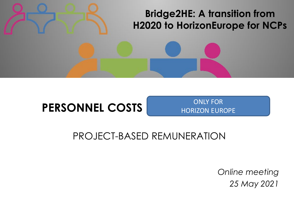### **Bridge2HE: A transition from H2020 to HorizonEurope for NCPs**

# **PERSONNEL COSTS**

ONLY FOR HORIZON EUROPE

### PROJECT-BASED REMUNERATION

*Online meeting 25 May 2021*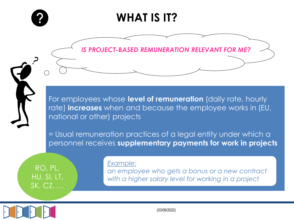

## **WHAT IS IT?**

*IS PROJECT-BASED REMUNERATION RELEVANT FOR ME?*

For employees whose **level of remuneration** (daily rate, hourly rate) **increases** when and because the employee works in (EU, national or other) projects

= Usual remuneration practices of a legal entity under which a personnel receives **supplementary payments for work in projects**

RO, PL, HU, SI, LT, SK, CZ, …

#### *Example:*

*an employee who gets a bonus or a new contract with a higher salary level for working in a project*

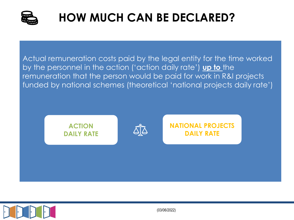

# **HOW MUCH CAN BE DECLARED?**

Actual remuneration costs paid by the legal entity for the time worked by the personnel in the action ('action daily rate') **up to** the remuneration that the person would be paid for work in R&I projects funded by national schemes (theoretical 'national projects daily rate')

**ACTION DAILY RATE NATIONAL PROJECTS DAILY RATE**



(03/06/2022)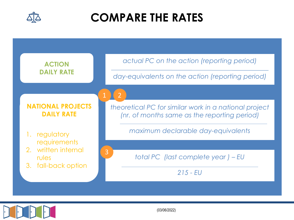

## **COMPARE THE RATES**





(03/06/2022)